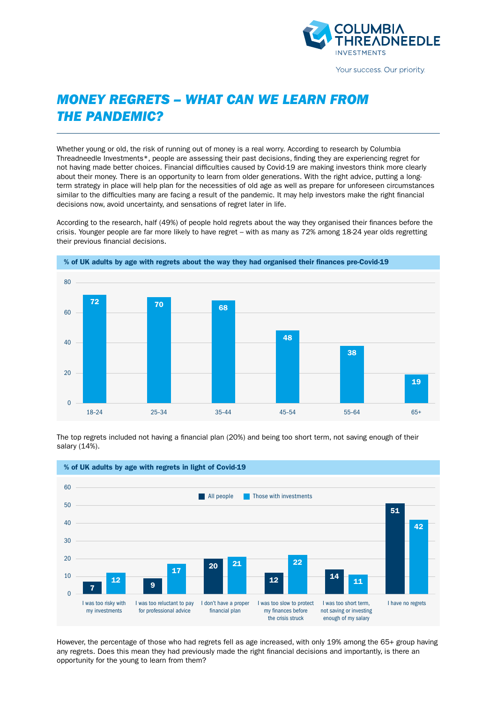

Your success. Our priority.

# *MONEY REGRETS – WHAT CAN WE LEARN FROM THE PANDEMIC?*

Whether young or old, the risk of running out of money is a real worry. According to research by Columbia Threadneedle Investments\*, people are assessing their past decisions, finding they are experiencing regret for not having made better choices. Financial difficulties caused by Covid-19 are making investors think more clearly about their money. There is an opportunity to learn from older generations. With the right advice, putting a longterm strategy in place will help plan for the necessities of old age as well as prepare for unforeseen circumstances similar to the difficulties many are facing a result of the pandemic. It may help investors make the right financial decisions now, avoid uncertainty, and sensations of regret later in life.

According to the research, half (49%) of people hold regrets about the way they organised their finances before the crisis. Younger people are far more likely to have regret – with as many as 72% among 18-24 year olds regretting their previous financial decisions.



The top regrets included not having a financial plan (20%) and being too short term, not saving enough of their salary (14%).



However, the percentage of those who had regrets fell as age increased, with only 19% among the 65+ group having any regrets. Does this mean they had previously made the right financial decisions and importantly, is there an opportunity for the young to learn from them?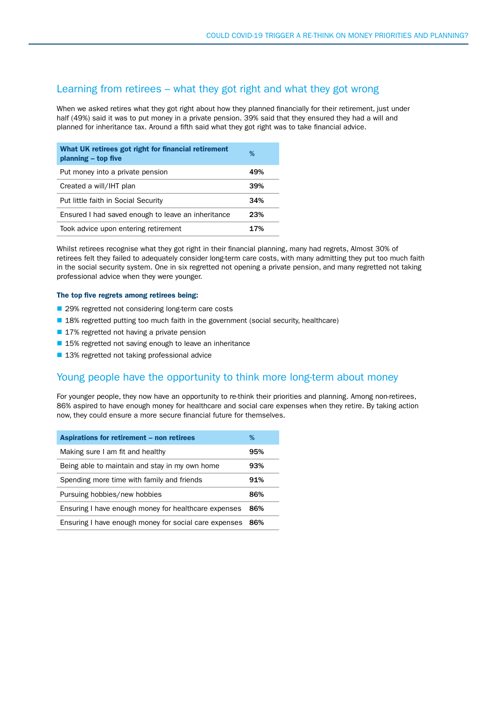### Learning from retirees – what they got right and what they got wrong

When we asked retires what they got right about how they planned financially for their retirement, just under half (49%) said it was to put money in a private pension. 39% said that they ensured they had a will and planned for inheritance tax. Around a fifth said what they got right was to take financial advice.

| What UK retirees got right for financial retirement<br>planning - top five | ℅   |
|----------------------------------------------------------------------------|-----|
| Put money into a private pension                                           | 49% |
| Created a will/IHT plan                                                    | 39% |
| Put little faith in Social Security                                        | 34% |
| Ensured I had saved enough to leave an inheritance                         | 23% |
| Took advice upon entering retirement                                       | 17% |

Whilst retirees recognise what they got right in their financial planning, many had regrets, Almost 30% of retirees felt they failed to adequately consider long-term care costs, with many admitting they put too much faith in the social security system. One in six regretted not opening a private pension, and many regretted not taking professional advice when they were younger.

#### The top five regrets among retirees being:

- 29% regretted not considering long-term care costs
- 18% regretted putting too much faith in the government (social security, healthcare)
- 17% regretted not having a private pension
- 15% regretted not saving enough to leave an inheritance
- 13% regretted not taking professional advice

## Young people have the opportunity to think more long-term about money

For younger people, they now have an opportunity to re-think their priorities and planning. Among non-retirees, 86% aspired to have enough money for healthcare and social care expenses when they retire. By taking action now, they could ensure a more secure financial future for themselves.

| Aspirations for retirement – non retirees             | %   |
|-------------------------------------------------------|-----|
| Making sure I am fit and healthy                      | 95% |
| Being able to maintain and stay in my own home        | 93% |
| Spending more time with family and friends            | 91% |
| Pursuing hobbies/new hobbies                          | 86% |
| Ensuring I have enough money for healthcare expenses  | 86% |
| Ensuring I have enough money for social care expenses | 86% |